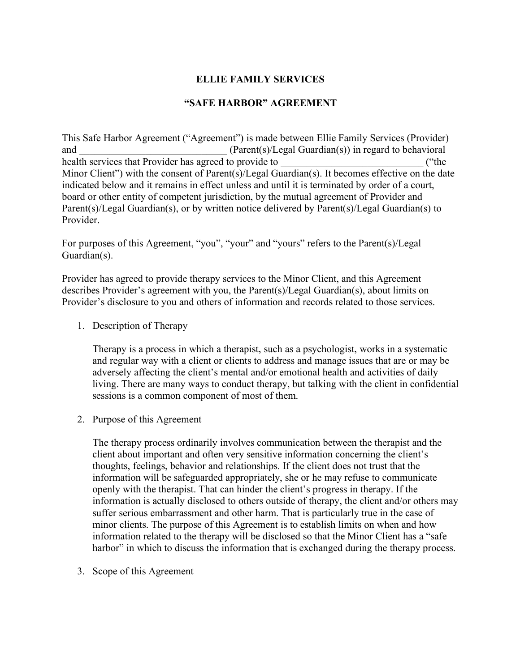## **ELLIE FAMILY SERVICES**

## **"SAFE HARBOR" AGREEMENT**

This Safe Harbor Agreement ("Agreement") is made between Ellie Family Services (Provider) and  $(Parent(s)/legal\quad)$  in regard to behavioral health services that Provider has agreed to provide to \_\_\_\_\_\_\_\_\_\_\_\_\_\_\_\_\_\_\_\_\_\_\_\_\_\_ ("the Minor Client") with the consent of Parent(s)/Legal Guardian(s). It becomes effective on the date indicated below and it remains in effect unless and until it is terminated by order of a court, board or other entity of competent jurisdiction, by the mutual agreement of Provider and Parent(s)/Legal Guardian(s), or by written notice delivered by Parent(s)/Legal Guardian(s) to **Provider** 

For purposes of this Agreement, "you", "your" and "yours" refers to the Parent(s)/Legal Guardian(s).

Provider has agreed to provide therapy services to the Minor Client, and this Agreement describes Provider's agreement with you, the Parent(s)/Legal Guardian(s), about limits on Provider's disclosure to you and others of information and records related to those services.

1. Description of Therapy

Therapy is a process in which a therapist, such as a psychologist, works in a systematic and regular way with a client or clients to address and manage issues that are or may be adversely affecting the client's mental and/or emotional health and activities of daily living. There are many ways to conduct therapy, but talking with the client in confidential sessions is a common component of most of them.

2. Purpose of this Agreement

The therapy process ordinarily involves communication between the therapist and the client about important and often very sensitive information concerning the client's thoughts, feelings, behavior and relationships. If the client does not trust that the information will be safeguarded appropriately, she or he may refuse to communicate openly with the therapist. That can hinder the client's progress in therapy. If the information is actually disclosed to others outside of therapy, the client and/or others may suffer serious embarrassment and other harm. That is particularly true in the case of minor clients. The purpose of this Agreement is to establish limits on when and how information related to the therapy will be disclosed so that the Minor Client has a "safe harbor" in which to discuss the information that is exchanged during the therapy process.

3. Scope of this Agreement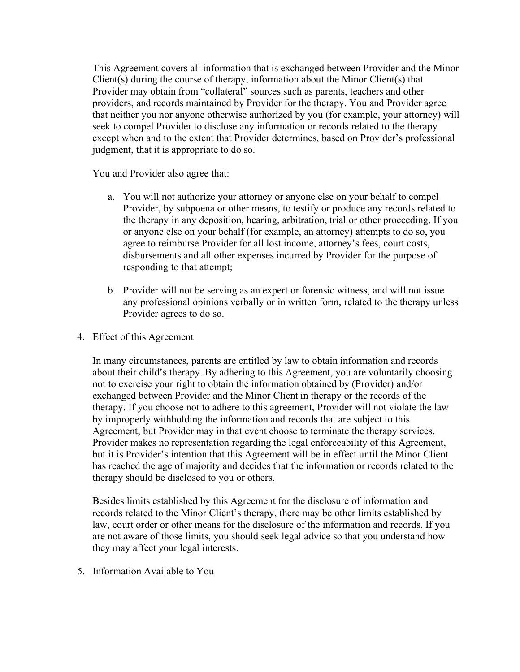This Agreement covers all information that is exchanged between Provider and the Minor Client(s) during the course of therapy, information about the Minor Client(s) that Provider may obtain from "collateral" sources such as parents, teachers and other providers, and records maintained by Provider for the therapy. You and Provider agree that neither you nor anyone otherwise authorized by you (for example, your attorney) will seek to compel Provider to disclose any information or records related to the therapy except when and to the extent that Provider determines, based on Provider's professional judgment, that it is appropriate to do so.

You and Provider also agree that:

- a. You will not authorize your attorney or anyone else on your behalf to compel Provider, by subpoena or other means, to testify or produce any records related to the therapy in any deposition, hearing, arbitration, trial or other proceeding. If you or anyone else on your behalf (for example, an attorney) attempts to do so, you agree to reimburse Provider for all lost income, attorney's fees, court costs, disbursements and all other expenses incurred by Provider for the purpose of responding to that attempt;
- b. Provider will not be serving as an expert or forensic witness, and will not issue any professional opinions verbally or in written form, related to the therapy unless Provider agrees to do so.
- 4. Effect of this Agreement

In many circumstances, parents are entitled by law to obtain information and records about their child's therapy. By adhering to this Agreement, you are voluntarily choosing not to exercise your right to obtain the information obtained by (Provider) and/or exchanged between Provider and the Minor Client in therapy or the records of the therapy. If you choose not to adhere to this agreement, Provider will not violate the law by improperly withholding the information and records that are subject to this Agreement, but Provider may in that event choose to terminate the therapy services. Provider makes no representation regarding the legal enforceability of this Agreement, but it is Provider's intention that this Agreement will be in effect until the Minor Client has reached the age of majority and decides that the information or records related to the therapy should be disclosed to you or others.

Besides limits established by this Agreement for the disclosure of information and records related to the Minor Client's therapy, there may be other limits established by law, court order or other means for the disclosure of the information and records. If you are not aware of those limits, you should seek legal advice so that you understand how they may affect your legal interests.

5. Information Available to You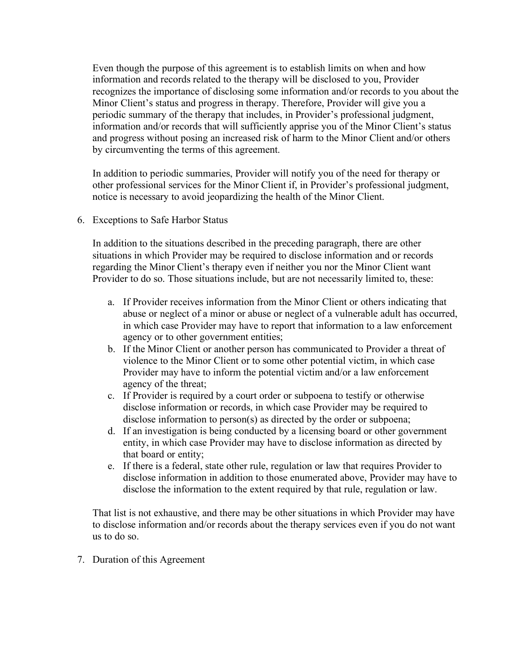Even though the purpose of this agreement is to establish limits on when and how information and records related to the therapy will be disclosed to you, Provider recognizes the importance of disclosing some information and/or records to you about the Minor Client's status and progress in therapy. Therefore, Provider will give you a periodic summary of the therapy that includes, in Provider's professional judgment, information and/or records that will sufficiently apprise you of the Minor Client's status and progress without posing an increased risk of harm to the Minor Client and/or others by circumventing the terms of this agreement.

In addition to periodic summaries, Provider will notify you of the need for therapy or other professional services for the Minor Client if, in Provider's professional judgment, notice is necessary to avoid jeopardizing the health of the Minor Client.

6. Exceptions to Safe Harbor Status

In addition to the situations described in the preceding paragraph, there are other situations in which Provider may be required to disclose information and or records regarding the Minor Client's therapy even if neither you nor the Minor Client want Provider to do so. Those situations include, but are not necessarily limited to, these:

- a. If Provider receives information from the Minor Client or others indicating that abuse or neglect of a minor or abuse or neglect of a vulnerable adult has occurred, in which case Provider may have to report that information to a law enforcement agency or to other government entities;
- b. If the Minor Client or another person has communicated to Provider a threat of violence to the Minor Client or to some other potential victim, in which case Provider may have to inform the potential victim and/or a law enforcement agency of the threat;
- c. If Provider is required by a court order or subpoena to testify or otherwise disclose information or records, in which case Provider may be required to disclose information to person(s) as directed by the order or subpoena;
- d. If an investigation is being conducted by a licensing board or other government entity, in which case Provider may have to disclose information as directed by that board or entity;
- e. If there is a federal, state other rule, regulation or law that requires Provider to disclose information in addition to those enumerated above, Provider may have to disclose the information to the extent required by that rule, regulation or law.

That list is not exhaustive, and there may be other situations in which Provider may have to disclose information and/or records about the therapy services even if you do not want us to do so.

7. Duration of this Agreement